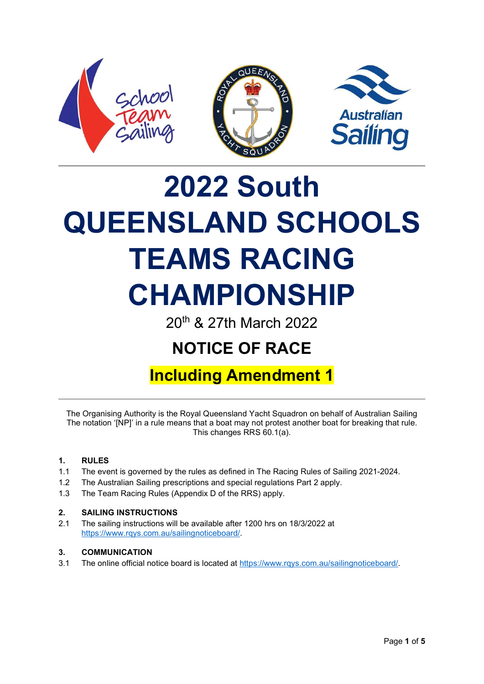

# 2022 South QUEENSLAND SCHOOLS TEAMS RACING CHAMPIONSHIP

20th & 27th March 2022

# NOTICE OF RACE

## Including Amendment 1

The Organising Authority is the Royal Queensland Yacht Squadron on behalf of Australian Sailing The notation '[NP]' in a rule means that a boat may not protest another boat for breaking that rule. This changes RRS 60.1(a).

#### 1. RULES

- 1.1 The event is governed by the rules as defined in The Racing Rules of Sailing 2021-2024.
- 1.2 The Australian Sailing prescriptions and special regulations Part 2 apply.
- 1.3 The Team Racing Rules (Appendix D of the RRS) apply.

#### 2. SAILING INSTRUCTIONS

2.1 The sailing instructions will be available after 1200 hrs on 18/3/2022 at https://www.rqys.com.au/sailingnoticeboard/.

#### 3. COMMUNICATION

3.1 The online official notice board is located at https://www.rqys.com.au/sailingnoticeboard/.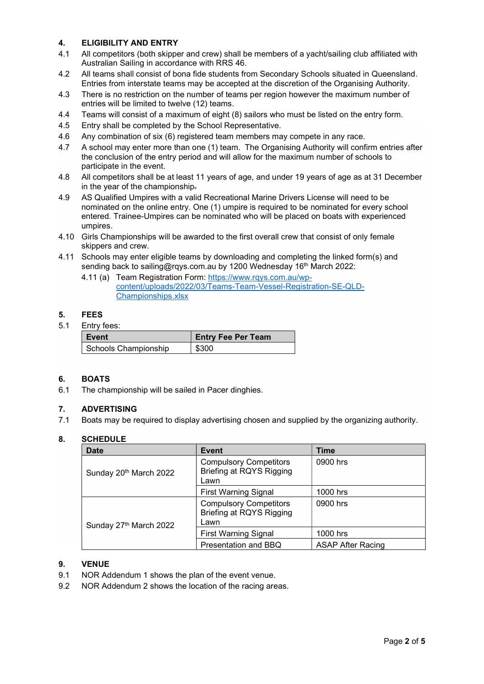#### 4. ELIGIBILITY AND ENTRY

- 4.1 All competitors (both skipper and crew) shall be members of a yacht/sailing club affiliated with Australian Sailing in accordance with RRS 46.
- 4.2 All teams shall consist of bona fide students from Secondary Schools situated in Queensland. Entries from interstate teams may be accepted at the discretion of the Organising Authority.
- 4.3 There is no restriction on the number of teams per region however the maximum number of entries will be limited to twelve (12) teams.
- 4.4 Teams will consist of a maximum of eight (8) sailors who must be listed on the entry form.
- 4.5 Entry shall be completed by the School Representative.
- 4.6 Any combination of six (6) registered team members may compete in any race.
- 4.7 A school may enter more than one (1) team. The Organising Authority will confirm entries after the conclusion of the entry period and will allow for the maximum number of schools to participate in the event.
- 4.8 All competitors shall be at least 11 years of age, and under 19 years of age as at 31 December in the year of the championship.
- 4.9 AS Qualified Umpires with a valid Recreational Marine Drivers License will need to be nominated on the online entry. One (1) umpire is required to be nominated for every school entered. Trainee-Umpires can be nominated who will be placed on boats with experienced umpires.
- 4.10 Girls Championships will be awarded to the first overall crew that consist of only female skippers and crew.
- 4.11 Schools may enter eligible teams by downloading and completing the linked form(s) and sending back to sailing@rgys.com.au by 1200 Wednesday 16<sup>th</sup> March 2022:
	- 4.11 (a) Team Registration Form: https://www.rqys.com.au/wpcontent/uploads/2022/03/Teams-Team-Vessel-Registration-SE-QLD-Championships.xlsx

#### 5. FEES

5.1 Entry fees:

| Event                | <b>Entry Fee Per Team</b> |
|----------------------|---------------------------|
| Schools Championship | \$300                     |

#### 6. BOATS

6.1 The championship will be sailed in Pacer dinghies.

#### 7. ADVERTISING

7.1 Boats may be required to display advertising chosen and supplied by the organizing authority.

#### 8. SCHEDULE

| <b>Date</b>                        | Event                                                             | <b>Time</b>              |
|------------------------------------|-------------------------------------------------------------------|--------------------------|
| Sunday 20 <sup>th</sup> March 2022 | <b>Compulsory Competitors</b><br>Briefing at RQYS Rigging<br>Lawn | 0900 hrs                 |
|                                    | <b>First Warning Signal</b>                                       | 1000 hrs                 |
| Sunday 27th March 2022             | <b>Compulsory Competitors</b><br>Briefing at RQYS Rigging<br>Lawn | 0900 hrs                 |
|                                    | <b>First Warning Signal</b>                                       | 1000 hrs                 |
|                                    | Presentation and BBQ                                              | <b>ASAP After Racing</b> |

#### 9. VENUE

- 9.1 NOR Addendum 1 shows the plan of the event venue.
- 9.2 NOR Addendum 2 shows the location of the racing areas.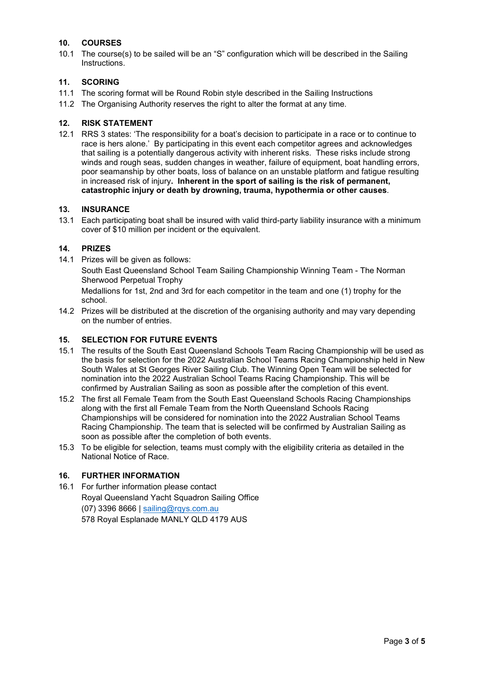#### 10. COURSES

10.1 The course(s) to be sailed will be an "S" configuration which will be described in the Sailing Instructions.

#### 11. SCORING

- 11.1 The scoring format will be Round Robin style described in the Sailing Instructions
- 11.2 The Organising Authority reserves the right to alter the format at any time.

#### 12. RISK STATEMENT

12.1 RRS 3 states: 'The responsibility for a boat's decision to participate in a race or to continue to race is hers alone.' By participating in this event each competitor agrees and acknowledges that sailing is a potentially dangerous activity with inherent risks. These risks include strong winds and rough seas, sudden changes in weather, failure of equipment, boat handling errors, poor seamanship by other boats, loss of balance on an unstable platform and fatigue resulting in increased risk of injury. Inherent in the sport of sailing is the risk of permanent, catastrophic injury or death by drowning, trauma, hypothermia or other causes.

#### 13. INSURANCE

13.1 Each participating boat shall be insured with valid third-party liability insurance with a minimum cover of \$10 million per incident or the equivalent.

#### 14. PRIZES

14.1 Prizes will be given as follows:

South East Queensland School Team Sailing Championship Winning Team - The Norman Sherwood Perpetual Trophy

Medallions for 1st, 2nd and 3rd for each competitor in the team and one (1) trophy for the school.

14.2 Prizes will be distributed at the discretion of the organising authority and may vary depending on the number of entries.

#### 15. SELECTION FOR FUTURE EVENTS

- 15.1 The results of the South East Queensland Schools Team Racing Championship will be used as the basis for selection for the 2022 Australian School Teams Racing Championship held in New South Wales at St Georges River Sailing Club. The Winning Open Team will be selected for nomination into the 2022 Australian School Teams Racing Championship. This will be confirmed by Australian Sailing as soon as possible after the completion of this event.
- 15.2 The first all Female Team from the South East Queensland Schools Racing Championships along with the first all Female Team from the North Queensland Schools Racing Championships will be considered for nomination into the 2022 Australian School Teams Racing Championship. The team that is selected will be confirmed by Australian Sailing as soon as possible after the completion of both events.
- 15.3 To be eligible for selection, teams must comply with the eligibility criteria as detailed in the National Notice of Race.

#### 16. FURTHER INFORMATION

16.1 For further information please contact Royal Queensland Yacht Squadron Sailing Office (07) 3396 8666 | sailing@rqys.com.au 578 Royal Esplanade MANLY QLD 4179 AUS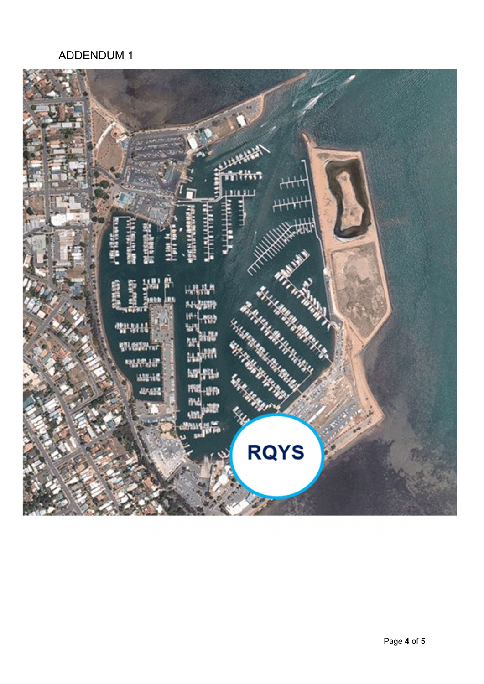## ADDENDUM 1